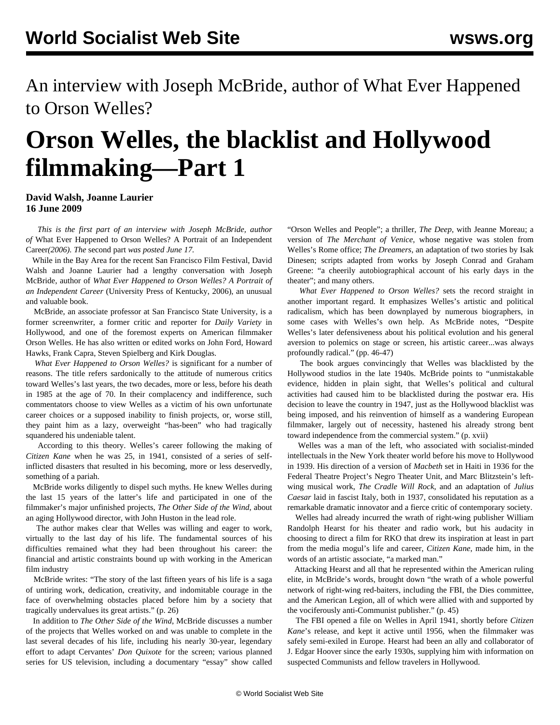An interview with Joseph McBride, author of What Ever Happened to Orson Welles?

## **Orson Welles, the blacklist and Hollywood filmmaking—Part 1**

**David Walsh, Joanne Laurier 16 June 2009**

 *This is the first part of an interview with Joseph McBride, author of* What Ever Happened to Orson Welles? A Portrait of an Independent Career*(2006). The* [second part](/en/articles/2009/jun2009/mcb2-j17.shtml) *was posted June 17.*

 While in the Bay Area for the recent San Francisco Film Festival, David Walsh and Joanne Laurier had a lengthy conversation with Joseph McBride, author of *What Ever Happened to Orson Welles? A Portrait of an Independent Career* (University Press of Kentucky, 2006), an unusual and valuable book.

 McBride, an associate professor at San Francisco State University, is a former screenwriter, a former critic and reporter for *Daily Variety* in Hollywood, and one of the foremost experts on American filmmaker Orson Welles. He has also written or edited works on John Ford, Howard Hawks, Frank Capra, Steven Spielberg and Kirk Douglas.

 *What Ever Happened to Orson Welles?* is significant for a number of reasons. The title refers sardonically to the attitude of numerous critics toward Welles's last years, the two decades, more or less, before his death in 1985 at the age of 70. In their complacency and indifference, such commentators choose to view Welles as a victim of his own unfortunate career choices or a supposed inability to finish projects, or, worse still, they paint him as a lazy, overweight "has-been" who had tragically squandered his undeniable talent.

 According to this theory. Welles's career following the making of *Citizen Kane* when he was 25, in 1941, consisted of a series of selfinflicted disasters that resulted in his becoming, more or less deservedly, something of a pariah.

 McBride works diligently to dispel such myths. He knew Welles during the last 15 years of the latter's life and participated in one of the filmmaker's major unfinished projects, *The Other Side of the Wind*, about an aging Hollywood director, with John Huston in the lead role.

 The author makes clear that Welles was willing and eager to work, virtually to the last day of his life. The fundamental sources of his difficulties remained what they had been throughout his career: the financial and artistic constraints bound up with working in the American film industry

 McBride writes: "The story of the last fifteen years of his life is a saga of untiring work, dedication, creativity, and indomitable courage in the face of overwhelming obstacles placed before him by a society that tragically undervalues its great artists." (p. 26)

 In addition to *The Other Side of the Wind*, McBride discusses a number of the projects that Welles worked on and was unable to complete in the last several decades of his life, including his nearly 30-year, legendary effort to adapt Cervantes' *Don Quixote* for the screen; various planned series for US television, including a documentary "essay" show called

"Orson Welles and People"; a thriller, *The Deep*, with Jeanne Moreau; a version of *The Merchant of Venice*, whose negative was stolen from Welles's Rome office; *The Dreamers*, an adaptation of two stories by Isak Dinesen; scripts adapted from works by Joseph Conrad and Graham Greene: "a cheerily autobiographical account of his early days in the theater"; and many others.

 *What Ever Happened to Orson Welles?* sets the record straight in another important regard. It emphasizes Welles's artistic and political radicalism, which has been downplayed by numerous biographers, in some cases with Welles's own help. As McBride notes, "Despite Welles's later defensiveness about his political evolution and his general aversion to polemics on stage or screen, his artistic career...was always profoundly radical." (pp. 46-47)

 The book argues convincingly that Welles was blacklisted by the Hollywood studios in the late 1940s. McBride points to "unmistakable evidence, hidden in plain sight, that Welles's political and cultural activities had caused him to be blacklisted during the postwar era. His decision to leave the country in 1947, just as the Hollywood blacklist was being imposed, and his reinvention of himself as a wandering European filmmaker, largely out of necessity, hastened his already strong bent toward independence from the commercial system." (p. xvii)

 Welles was a man of the left, who associated with socialist-minded intellectuals in the New York theater world before his move to Hollywood in 1939. His direction of a version of *Macbeth* set in Haiti in 1936 for the Federal Theatre Project's Negro Theater Unit, and Marc Blitzstein's leftwing musical work, *The Cradle Will Rock*, and an adaptation of *Julius Caesar* laid in fascist Italy, both in 1937, consolidated his reputation as a remarkable dramatic innovator and a fierce critic of contemporary society.

 Welles had already incurred the wrath of right-wing publisher William Randolph Hearst for his theater and radio work, but his audacity in choosing to direct a film for RKO that drew its inspiration at least in part from the media mogul's life and career, *Citizen Kane*, made him, in the words of an artistic associate, "a marked man."

 Attacking Hearst and all that he represented within the American ruling elite, in McBride's words, brought down "the wrath of a whole powerful network of right-wing red-baiters, including the FBI, the Dies committee, and the American Legion, all of which were allied with and supported by the vociferously anti-Communist publisher." (p. 45)

 The FBI opened a file on Welles in April 1941, shortly before *Citizen Kane*'s release, and kept it active until 1956, when the filmmaker was safely semi-exiled in Europe. Hearst had been an ally and collaborator of J. Edgar Hoover since the early 1930s, supplying him with information on suspected Communists and fellow travelers in Hollywood.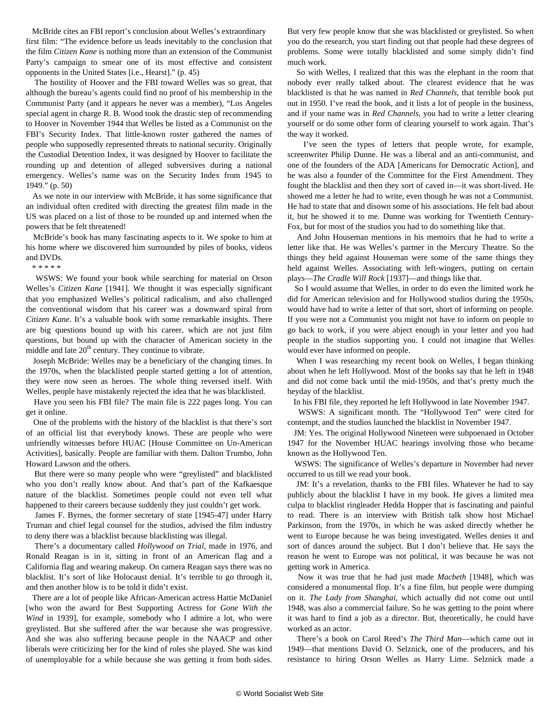McBride cites an FBI report's conclusion about Welles's extraordinary first film: "The evidence before us leads inevitably to the conclusion that the film *Citizen Kane* is nothing more than an extension of the Communist Party's campaign to smear one of its most effective and consistent opponents in the United States [i.e., Hearst]." (p. 45)

 The hostility of Hoover and the FBI toward Welles was so great, that although the bureau's agents could find no proof of his membership in the Communist Party (and it appears he never was a member), "Los Angeles special agent in charge R. B. Wood took the drastic step of recommending to Hoover in November 1944 that Welles be listed as a Communist on the FBI's Security Index. That little-known roster gathered the names of people who supposedly represented threats to national security. Originally the Custodial Detention Index, it was designed by Hoover to facilitate the rounding up and detention of alleged subversives during a national emergency. Welles's name was on the Security Index from 1945 to 1949." (p. 50)

 As we note in our interview with McBride, it has some significance that an individual often credited with directing the greatest film made in the US was placed on a list of those to be rounded up and interned when the powers that be felt threatened!

 McBride's book has many fascinating aspects to it. We spoke to him at his home where we discovered him surrounded by piles of books, videos and DVDs.

\* \* \* \* \*

 WSWS: We found your book while searching for material on Orson Welles's *Citizen Kane* [1941]. We thought it was especially significant that you emphasized Welles's political radicalism, and also challenged the conventional wisdom that his career was a downward spiral from *Citizen Kane*. It's a valuable book with some remarkable insights. There are big questions bound up with his career, which are not just film questions, but bound up with the character of American society in the middle and late  $20<sup>th</sup>$  century. They continue to vibrate.

 Joseph McBride: Welles may be a beneficiary of the changing times. In the 1970s, when the blacklisted people started getting a lot of attention, they were now seen as heroes. The whole thing reversed itself. With Welles, people have mistakenly rejected the idea that he was blacklisted.

 Have you seen his FBI file? The main file is 222 pages long. You can get it online.

 One of the problems with the history of the blacklist is that there's sort of an official list that everybody knows. These are people who were unfriendly witnesses before HUAC [House Committee on Un-American Activities], basically. People are familiar with them. Dalton Trumbo, John Howard Lawson and the others.

 But there were so many people who were "greylisted" and blacklisted who you don't really know about. And that's part of the Kafkaesque nature of the blacklist. Sometimes people could not even tell what happened to their careers because suddenly they just couldn't get work.

 James F. Byrnes, the former secretary of state [1945-47] under Harry Truman and chief legal counsel for the studios, advised the film industry to deny there was a blacklist because blacklisting was illegal.

 There's a documentary called *Hollywood on Trial*, made in 1976, and Ronald Reagan is in it, sitting in front of an American flag and a California flag and wearing makeup. On camera Reagan says there was no blacklist. It's sort of like Holocaust denial. It's terrible to go through it, and then another blow is to be told it didn't exist.

 There are a lot of people like African-American actress Hattie McDaniel [who won the award for Best Supporting Actress for *Gone With the Wind* in 1939], for example, somebody who I admire a lot, who were greylisted. But she suffered after the war because she was progressive. And she was also suffering because people in the NAACP and other liberals were criticizing her for the kind of roles she played. She was kind of unemployable for a while because she was getting it from both sides.

But very few people know that she was blacklisted or greylisted. So when you do the research, you start finding out that people had these degrees of problems. Some were totally blacklisted and some simply didn't find much work.

 So with Welles, I realized that this was the elephant in the room that nobody ever really talked about. The clearest evidence that he was blacklisted is that he was named in *Red Channels*, that terrible book put out in 1950. I've read the book, and it lists a lot of people in the business, and if your name was in *Red Channels*, you had to write a letter clearing yourself or do some other form of clearing yourself to work again. That's the way it worked.

 I've seen the types of letters that people wrote, for example, screenwriter Philip Dunne. He was a liberal and an anti-communist, and one of the founders of the ADA [Americans for Democratic Action], and he was also a founder of the Committee for the First Amendment. They fought the blacklist and then they sort of caved in—it was short-lived. He showed me a letter he had to write, even though he was not a Communist. He had to state that and disown some of his associations. He felt bad about it, but he showed it to me. Dunne was working for Twentieth Century-Fox, but for most of the studios you had to do something like that.

 And John Houseman mentions in his memoirs that he had to write a letter like that. He was Welles's partner in the Mercury Theatre. So the things they held against Houseman were some of the same things they held against Welles. Associating with left-wingers, putting on certain plays—*The Cradle Will Rock* [1937]—and things like that.

 So I would assume that Welles, in order to do even the limited work he did for American television and for Hollywood studios during the 1950s, would have had to write a letter of that sort, short of informing on people. If you were not a Communist you might not have to inform on people to go back to work, if you were abject enough in your letter and you had people in the studios supporting you. I could not imagine that Welles would ever have informed on people.

 When I was researching my recent book on Welles, I began thinking about when he left Hollywood. Most of the books say that he left in 1948 and did not come back until the mid-1950s, and that's pretty much the heyday of the blacklist.

In his FBI file, they reported he left Hollywood in late November 1947.

 WSWS: A significant month. The "Hollywood Ten" were cited for contempt, and the studios launched the blacklist in November 1947.

 JM: Yes. The original Hollywood Nineteen were subpoenaed in October 1947 for the November HUAC hearings involving those who became known as the Hollywood Ten.

 WSWS: The significance of Welles's departure in November had never occurred to us till we read your book.

 JM: It's a revelation, thanks to the FBI files. Whatever he had to say publicly about the blacklist I have in my book. He gives a limited mea culpa to blacklist ringleader Hedda Hopper that is fascinating and painful to read. There is an interview with British talk show host Michael Parkinson, from the 1970s, in which he was asked directly whether he went to Europe because he was being investigated. Welles denies it and sort of dances around the subject. But I don't believe that. He says the reason he went to Europe was not political, it was because he was not getting work in America.

 Now it was true that he had just made *Macbeth* [1948], which was considered a monumental flop. It's a fine film, but people were dumping on it. *The Lady from Shanghai*, which actually did not come out until 1948, was also a commercial failure. So he was getting to the point where it was hard to find a job as a director. But, theoretically, he could have worked as an actor.

 There's a book on Carol Reed's *The Third Man*—which came out in 1949—that mentions David O. Selznick, one of the producers, and his resistance to hiring Orson Welles as Harry Lime. Selznick made a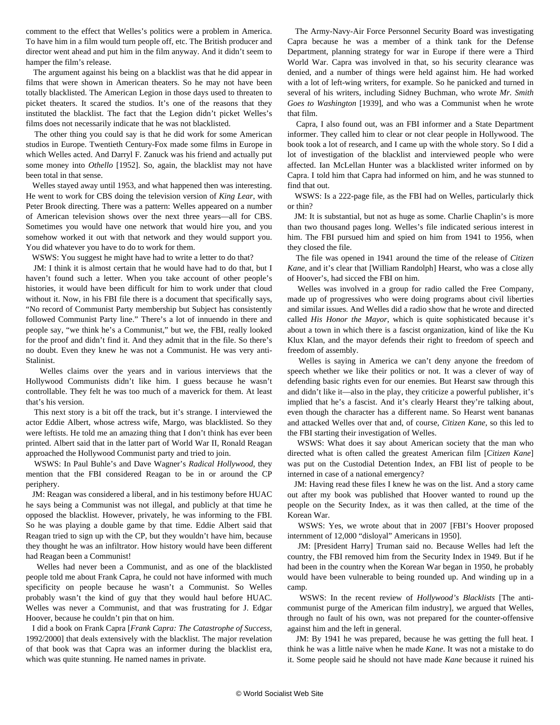comment to the effect that Welles's politics were a problem in America. To have him in a film would turn people off, etc. The British producer and director went ahead and put him in the film anyway. And it didn't seem to hamper the film's release.

 The argument against his being on a blacklist was that he did appear in films that were shown in American theaters. So he may not have been totally blacklisted. The American Legion in those days used to threaten to picket theaters. It scared the studios. It's one of the reasons that they instituted the blacklist. The fact that the Legion didn't picket Welles's films does not necessarily indicate that he was not blacklisted.

 The other thing you could say is that he did work for some American studios in Europe. Twentieth Century-Fox made some films in Europe in which Welles acted. And Darryl F. Zanuck was his friend and actually put some money into *Othello* [1952]. So, again, the blacklist may not have been total in that sense.

 Welles stayed away until 1953, and what happened then was interesting. He went to work for CBS doing the television version of *King Lear*, with Peter Brook directing. There was a pattern: Welles appeared on a number of American television shows over the next three years—all for CBS. Sometimes you would have one network that would hire you, and you somehow worked it out with that network and they would support you. You did whatever you have to do to work for them.

WSWS: You suggest he might have had to write a letter to do that?

 JM: I think it is almost certain that he would have had to do that, but I haven't found such a letter. When you take account of other people's histories, it would have been difficult for him to work under that cloud without it. Now, in his FBI file there is a document that specifically says, "No record of Communist Party membership but Subject has consistently followed Communist Party line." There's a lot of innuendo in there and people say, "we think he's a Communist," but we, the FBI, really looked for the proof and didn't find it. And they admit that in the file. So there's no doubt. Even they knew he was not a Communist. He was very anti-Stalinist.

 Welles claims over the years and in various interviews that the Hollywood Communists didn't like him. I guess because he wasn't controllable. They felt he was too much of a maverick for them. At least that's his version.

 This next story is a bit off the track, but it's strange. I interviewed the actor Eddie Albert, whose actress wife, Margo, was blacklisted. So they were leftists. He told me an amazing thing that I don't think has ever been printed. Albert said that in the latter part of World War II, Ronald Reagan approached the Hollywood Communist party and tried to join.

 WSWS: In Paul Buhle's and Dave Wagner's *Radical Hollywood*, they mention that the FBI considered Reagan to be in or around the CP periphery.

 JM: Reagan was considered a liberal, and in his testimony before HUAC he says being a Communist was not illegal, and publicly at that time he opposed the blacklist. However, privately, he was informing to the FBI. So he was playing a double game by that time. Eddie Albert said that Reagan tried to sign up with the CP, but they wouldn't have him, because they thought he was an infiltrator. How history would have been different had Reagan been a Communist!

 Welles had never been a Communist, and as one of the blacklisted people told me about Frank Capra, he could not have informed with much specificity on people because he wasn't a Communist. So Welles probably wasn't the kind of guy that they would haul before HUAC. Welles was never a Communist, and that was frustrating for J. Edgar Hoover, because he couldn't pin that on him.

 I did a book on Frank Capra [*Frank Capra: The Catastrophe of Success*, 1992/2000] that deals extensively with the blacklist. The major revelation of that book was that Capra was an informer during the blacklist era, which was quite stunning. He named names in private.

 The Army-Navy-Air Force Personnel Security Board was investigating Capra because he was a member of a think tank for the Defense Department, planning strategy for war in Europe if there were a Third World War. Capra was involved in that, so his security clearance was denied, and a number of things were held against him. He had worked with a lot of left-wing writers, for example. So he panicked and turned in several of his writers, including Sidney Buchman, who wrote *Mr. Smith Goes to Washington* [1939], and who was a Communist when he wrote that film.

 Capra, I also found out, was an FBI informer and a State Department informer. They called him to clear or not clear people in Hollywood. The book took a lot of research, and I came up with the whole story. So I did a lot of investigation of the blacklist and interviewed people who were affected. Ian McLellan Hunter was a blacklisted writer informed on by Capra. I told him that Capra had informed on him, and he was stunned to find that out.

 WSWS: Is a 222-page file, as the FBI had on Welles, particularly thick or thin?

 JM: It is substantial, but not as huge as some. Charlie Chaplin's is more than two thousand pages long. Welles's file indicated serious interest in him. The FBI pursued him and spied on him from 1941 to 1956, when they closed the file.

 The file was opened in 1941 around the time of the release of *Citizen Kane,* and it's clear that [William Randolph] Hearst, who was a close ally of Hoover's, had sicced the FBI on him.

 Welles was involved in a group for radio called the Free Company, made up of progressives who were doing programs about civil liberties and similar issues. And Welles did a radio show that he wrote and directed called *His Honor the Mayor*, which is quite sophisticated because it's about a town in which there is a fascist organization, kind of like the Ku Klux Klan, and the mayor defends their right to freedom of speech and freedom of assembly.

 Welles is saying in America we can't deny anyone the freedom of speech whether we like their politics or not. It was a clever of way of defending basic rights even for our enemies. But Hearst saw through this and didn't like it—also in the play, they criticize a powerful publisher, it's implied that he's a fascist. And it's clearly Hearst they're talking about, even though the character has a different name. So Hearst went bananas and attacked Welles over that and, of course, *Citizen Kane*, so this led to the FBI starting their investigation of Welles.

 WSWS: What does it say about American society that the man who directed what is often called the greatest American film [*Citizen Kane*] was put on the Custodial Detention Index, an FBI list of people to be interned in case of a national emergency?

 JM: Having read these files I knew he was on the list. And a story came out after my book was published that Hoover wanted to round up the people on the Security Index, as it was then called, at the time of the Korean War.

 WSWS: Yes, we wrote about that in 2007 [\[FBI's Hoover proposed](/en/articles/2007/dec2007/hoov-d24.shtml) [internment of 12,000 "disloyal" Americans in 1950\]](/en/articles/2007/dec2007/hoov-d24.shtml).

 JM: [President Harry] Truman said no. Because Welles had left the country, the FBI removed him from the Security Index in 1949. But if he had been in the country when the Korean War began in 1950, he probably would have been vulnerable to being rounded up. And winding up in a camp.

 WSWS: In the recent review of *Hollywood's Blacklists* [[The anti](/en/articles/2009/feb2009/blac-f04.shtml)[communist purge of the American film industry\]](/en/articles/2009/feb2009/blac-f04.shtml), we argued that Welles, through no fault of his own, was not prepared for the counter-offensive against him and the left in general.

 JM: By 1941 he was prepared, because he was getting the full heat. I think he was a little naïve when he made *Kane*. It was not a mistake to do it. Some people said he should not have made *Kane* because it ruined his